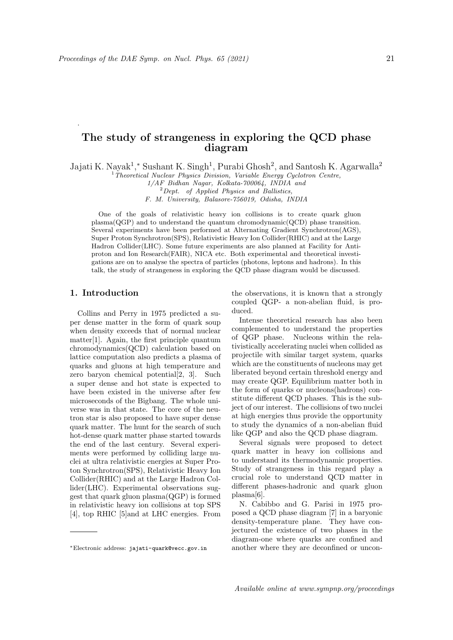## The study of strangeness in exploring the QCD phase diagram

Jajati K. Nayak<sup>1</sup>,\* Sushant K. Singh<sup>1</sup>, Purabi Ghosh<sup>2</sup>, and Santosh K. Agarwalla<sup>2</sup>

<sup>1</sup>Theoretical Nuclear Physics Division, Variable Energy Cyclotron Centre,

 $2$  Dept. of Applied Physics and Ballistics,

F. M. University, Balasore-756019, Odisha, INDIA

One of the goals of relativistic heavy ion collisions is to create quark gluon plasma(QGP) and to understand the quantum chromodynamic(QCD) phase transition. Several experiments have been performed at Alternating Gradient Synchrotron(AGS), Super Proton Synchrotron(SPS), Relativistic Heavy Ion Collider(RHIC) and at the Large Hadron Collider(LHC). Some future experiments are also planned at Facility for Antiproton and Ion Research(FAIR), NICA etc. Both experimental and theoretical investigations are on to analyse the spectra of particles (photons, leptons and hadrons). In this talk, the study of strangeness in exploring the QCD phase diagram would be discussed.

## 1. Introduction

.

Collins and Perry in 1975 predicted a super dense matter in the form of quark soup when density exceeds that of normal nuclear matter[1]. Again, the first principle quantum chromodynamics(QCD) calculation based on lattice computation also predicts a plasma of quarks and gluons at high temperature and zero baryon chemical potential[2, 3]. Such a super dense and hot state is expected to have been existed in the universe after few microseconds of the Bigbang. The whole universe was in that state. The core of the neutron star is also proposed to have super dense quark matter. The hunt for the search of such hot-dense quark matter phase started towards the end of the last century. Several experiments were performed by colliding large nuclei at ultra relativistic energies at Super Proton Synchrotron(SPS), Relativistic Heavy Ion Collider(RHIC) and at the Large Hadron Collider(LHC). Experimental observations suggest that quark gluon plasma(QGP) is formed in relativistic heavy ion collisions at top SPS [4], top RHIC [5]and at LHC energies. From

the observations, it is known that a strongly coupled QGP- a non-abelian fluid, is produced.

Intense theoretical research has also been complemented to understand the properties of QGP phase. Nucleons within the relativistically accelerating nuclei when collided as projectile with similar target system, quarks which are the constituents of nucleons may get liberated beyond certain threshold energy and may create QGP. Equilibrium matter both in the form of quarks or nucleons(hadrons) constitute different QCD phases. This is the subject of our interest. The collisions of two nuclei at high energies thus provide the opportunity to study the dynamics of a non-abelian fluid like QGP and also the QCD phase diagram.

Several signals were proposed to detect quark matter in heavy ion collisions and to understand its thermodynamic properties. Study of strangeness in this regard play a crucial role to understand QCD matter in different phases-hadronic and quark gluon plasma[6].

N. Cabibbo and G. Parisi in 1975 proposed a QCD phase diagram [7] in a baryonic density-temperature plane. They have conjectured the existence of two phases in the diagram-one where quarks are confined and another where they are deconfined or uncon-

<sup>1/</sup>AF Bidhan Nagar, Kolkata-700064, INDIA and

<sup>∗</sup>Electronic address: jajati-quark@vecc.gov.in